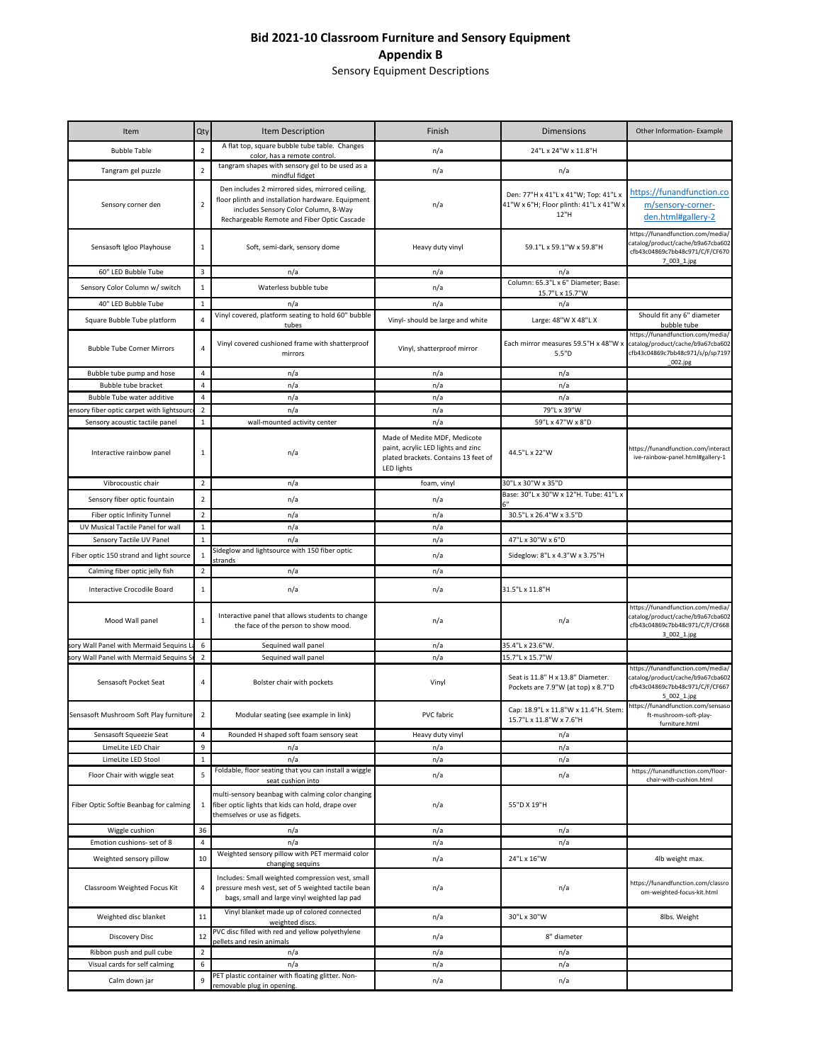## **Bid 2021-10 Classroom Furniture and Sensory Equipment Appendix B**

Sensory Equipment Descriptions

| Item                                      | <b>Qty</b>     | Item Description                                                                                                                                                                             | Finish                                                                                                                   | <b>Dimensions</b>                                                                       | Other Information- Example                                                                                               |
|-------------------------------------------|----------------|----------------------------------------------------------------------------------------------------------------------------------------------------------------------------------------------|--------------------------------------------------------------------------------------------------------------------------|-----------------------------------------------------------------------------------------|--------------------------------------------------------------------------------------------------------------------------|
| <b>Bubble Table</b>                       | $\overline{2}$ | A flat top, square bubble tube table. Changes<br>color, has a remote control.                                                                                                                | n/a                                                                                                                      | 24"L x 24"W x 11.8"H                                                                    |                                                                                                                          |
| Tangram gel puzzle                        | $\overline{2}$ | tangram shapes with sensory gel to be used as a<br>mindful fidget                                                                                                                            | n/a                                                                                                                      | n/a                                                                                     |                                                                                                                          |
| Sensory corner den                        | 2              | Den includes 2 mirrored sides, mirrored ceiling,<br>floor plinth and installation hardware. Equipment<br>includes Sensory Color Column, 8-Way<br>Rechargeable Remote and Fiber Optic Cascade | n/a                                                                                                                      | Den: 77"H x 41"L x 41"W; Top: 41"L x<br>41"W x 6"H; Floor plinth: 41"L x 41"W x<br>12"H | https://funandfunction.co<br>m/sensory-corner-<br>den.html#gallery-2                                                     |
| Sensasoft Igloo Playhouse                 | $\mathbf{1}$   | Soft, semi-dark, sensory dome                                                                                                                                                                | Heavy duty vinyl                                                                                                         | 59.1"L x 59.1"W x 59.8"H                                                                | https://funandfunction.com/media/<br>catalog/product/cache/b9a67cba602<br>cfb43c04869c7bb48c971/C/F/CF670<br>7_003_1.jpg |
| 60" LED Bubble Tube                       | 3              | n/a                                                                                                                                                                                          | n/a                                                                                                                      | n/a                                                                                     |                                                                                                                          |
| Sensory Color Column w/ switch            | $\mathbf{1}$   | Waterless bubble tube                                                                                                                                                                        | n/a                                                                                                                      | Column: 65.3"L x 6" Diameter; Base:<br>15.7"L x 15.7"W                                  |                                                                                                                          |
| 40" LED Bubble Tube                       | $\mathbf{1}$   | n/a                                                                                                                                                                                          | n/a                                                                                                                      | n/a                                                                                     |                                                                                                                          |
| Square Bubble Tube platform               |                | Vinyl covered, platform seating to hold 60" bubble<br>tubes                                                                                                                                  | Vinyl- should be large and white                                                                                         | Large: 48"W X 48"L X                                                                    | Should fit any 6" diameter<br>bubble tube                                                                                |
| <b>Bubble Tube Corner Mirrors</b>         | 4              | Vinyl covered cushioned frame with shatterproof<br>mirrors                                                                                                                                   | Vinyl, shatterproof mirror                                                                                               | Each mirror measures 59.5"H x 48"W x<br>5.5"D                                           | https://funandfunction.com/media/<br>catalog/product/cache/b9a67cba602<br>cfb43c04869c7bb48c971/s/p/sp7197<br>_002.jpg   |
| Bubble tube pump and hose                 | 4              | n/a                                                                                                                                                                                          | n/a                                                                                                                      | n/a                                                                                     |                                                                                                                          |
| Bubble tube bracket                       | 4              | n/a                                                                                                                                                                                          | n/a                                                                                                                      | n/a                                                                                     |                                                                                                                          |
| <b>Bubble Tube water additive</b>         | 4              | n/a                                                                                                                                                                                          | n/a                                                                                                                      | n/a                                                                                     |                                                                                                                          |
| ensory fiber optic carpet with lightsourc | $\overline{2}$ | n/a                                                                                                                                                                                          | n/a                                                                                                                      | 79"L x 39"W                                                                             |                                                                                                                          |
| Sensory acoustic tactile panel            | $\mathbf{1}$   | wall-mounted activity center                                                                                                                                                                 | n/a                                                                                                                      | 59"L x 47"W x 8"D                                                                       |                                                                                                                          |
| Interactive rainbow panel                 | 1              | n/a                                                                                                                                                                                          | Made of Medite MDF, Medicote<br>paint, acrylic LED lights and zinc<br>plated brackets. Contains 13 feet of<br>LED lights | 44.5"L x 22"W                                                                           | https://funandfunction.com/interact<br>ive-rainbow-panel.html#gallery-1                                                  |
| Vibrocoustic chair                        | $\overline{2}$ | n/a                                                                                                                                                                                          | foam, vinyl                                                                                                              | 30"L x 30"W x 35"D                                                                      |                                                                                                                          |
| Sensory fiber optic fountain              | 2              | n/a                                                                                                                                                                                          | n/a                                                                                                                      | Base: 30"L x 30"W x 12"H. Tube: 41"L x<br>6"                                            |                                                                                                                          |
| Fiber optic Infinity Tunnel               | $\overline{2}$ | n/a                                                                                                                                                                                          | n/a                                                                                                                      | 30.5"L x 26.4"W x 3.5"D                                                                 |                                                                                                                          |
| UV Musical Tactile Panel for wall         | $\mathbf{1}$   | n/a                                                                                                                                                                                          | n/a                                                                                                                      |                                                                                         |                                                                                                                          |
| Sensory Tactile UV Panel                  | $\mathbf{1}$   | n/a                                                                                                                                                                                          | n/a                                                                                                                      | 47"L x 30"W x 6"D                                                                       |                                                                                                                          |
| Fiber optic 150 strand and light source   | $\mathbf 1$    | Sideglow and lightsource with 150 fiber optic<br>strands                                                                                                                                     | n/a                                                                                                                      | Sideglow: 8"L x 4.3"W x 3.75"H                                                          |                                                                                                                          |
| Calming fiber optic jelly fish            | $\overline{2}$ | n/a                                                                                                                                                                                          | n/a                                                                                                                      |                                                                                         |                                                                                                                          |
| <b>Interactive Crocodile Board</b>        | $\mathbf{1}$   | n/a                                                                                                                                                                                          | n/a                                                                                                                      | 31.5"L x 11.8"H                                                                         |                                                                                                                          |
| Mood Wall panel                           | 1              | Interactive panel that allows students to change<br>the face of the person to show mood.                                                                                                     | n/a                                                                                                                      | n/a                                                                                     | https://funandfunction.com/media/<br>catalog/product/cache/b9a67cba602<br>cfb43c04869c7bb48c971/C/F/CF668<br>3_002_1.jpg |
| sory Wall Panel with Mermaid Sequins L    | 6              | Sequined wall panel                                                                                                                                                                          | n/a                                                                                                                      | 35.4"L x 23.6"W.                                                                        |                                                                                                                          |
| sory Wall Panel with Mermaid Sequins S    | $\overline{2}$ | Sequined wall panel                                                                                                                                                                          | n/a                                                                                                                      | 15.7"L x 15.7"W                                                                         |                                                                                                                          |
| Sensasoft Pocket Seat                     | 4              | Bolster chair with pockets                                                                                                                                                                   | Vinyl                                                                                                                    | Seat is 11.8" H x 13.8" Diameter.<br>Pockets are 7.9"W (at top) x 8.7"D                 | https://funandfunction.com/media/<br>catalog/product/cache/b9a67cba602<br>cfb43c04869c7bb48c971/C/F/CF667<br>5_002_1.jpg |
| Sensasoft Mushroom Soft Play furniture    | 2              | Modular seating (see example in link)                                                                                                                                                        | PVC fabric                                                                                                               | Cap: 18.9"L x 11.8"W x 11.4"H. Stem:<br>15.7"L x 11.8"W x 7.6"H                         | https://funandfunction.com/sensaso<br>ft-mushroom-soft-play-<br>furniture.html                                           |
| Sensasoft Squeezie Seat                   | 4              | Rounded H shaped soft foam sensory seat                                                                                                                                                      | Heavy duty vinyl                                                                                                         | n/a                                                                                     |                                                                                                                          |
| LimeLite LED Chair                        | 9              | n/a                                                                                                                                                                                          | n/a                                                                                                                      | n/a                                                                                     |                                                                                                                          |
| LimeLite LED Stool                        | $\mathbf{1}$   | n/a                                                                                                                                                                                          | n/a                                                                                                                      | n/a                                                                                     |                                                                                                                          |
| Floor Chair with wiggle seat              | 5              | Foldable, floor seating that you can install a wiggle<br>seat cushion into                                                                                                                   | n/a                                                                                                                      | n/a                                                                                     | https://funandfunction.com/floor-<br>chair-with-cushion.html                                                             |
| Fiber Optic Softie Beanbag for calming    | $\mathbf{1}$   | multi-sensory beanbag with calming color changing<br>fiber optic lights that kids can hold, drape over<br>themselves or use as fidgets.                                                      | n/a                                                                                                                      | 55"D X 19"H                                                                             |                                                                                                                          |
| Wiggle cushion                            | 36             | n/a                                                                                                                                                                                          | n/a                                                                                                                      | n/a                                                                                     |                                                                                                                          |
| Emotion cushions- set of 8                | $\overline{4}$ | n/a                                                                                                                                                                                          | n/a                                                                                                                      | n/a                                                                                     |                                                                                                                          |
| Weighted sensory pillow                   | 10             | Weighted sensory pillow with PET mermaid color<br>changing sequins                                                                                                                           | n/a                                                                                                                      | 24"L x 16"W                                                                             | 4lb weight max.                                                                                                          |
| Classroom Weighted Focus Kit              | 4              | Includes: Small weighted compression vest, small<br>pressure mesh vest, set of 5 weighted tactile bean<br>bags, small and large vinyl weighted lap pad                                       | n/a                                                                                                                      | n/a                                                                                     | https://funandfunction.com/classro<br>om-weighted-focus-kit.html                                                         |
| Weighted disc blanket                     | 11             | Vinyl blanket made up of colored connected<br>weighted discs.                                                                                                                                | n/a                                                                                                                      | 30"L x 30"W                                                                             | 8lbs. Weight                                                                                                             |
| <b>Discovery Disc</b>                     | 12             | PVC disc filled with red and yellow polyethylene<br>pellets and resin animals                                                                                                                | n/a                                                                                                                      | 8" diameter                                                                             |                                                                                                                          |
| Ribbon push and pull cube                 | $\overline{2}$ | n/a                                                                                                                                                                                          | n/a                                                                                                                      | n/a                                                                                     |                                                                                                                          |
| Visual cards for self calming             | 6              | n/a                                                                                                                                                                                          | n/a                                                                                                                      | n/a                                                                                     |                                                                                                                          |
| Calm down jar                             | 9              | PET plastic container with floating glitter. Non-<br>removable plug in opening.                                                                                                              | n/a                                                                                                                      | n/a                                                                                     |                                                                                                                          |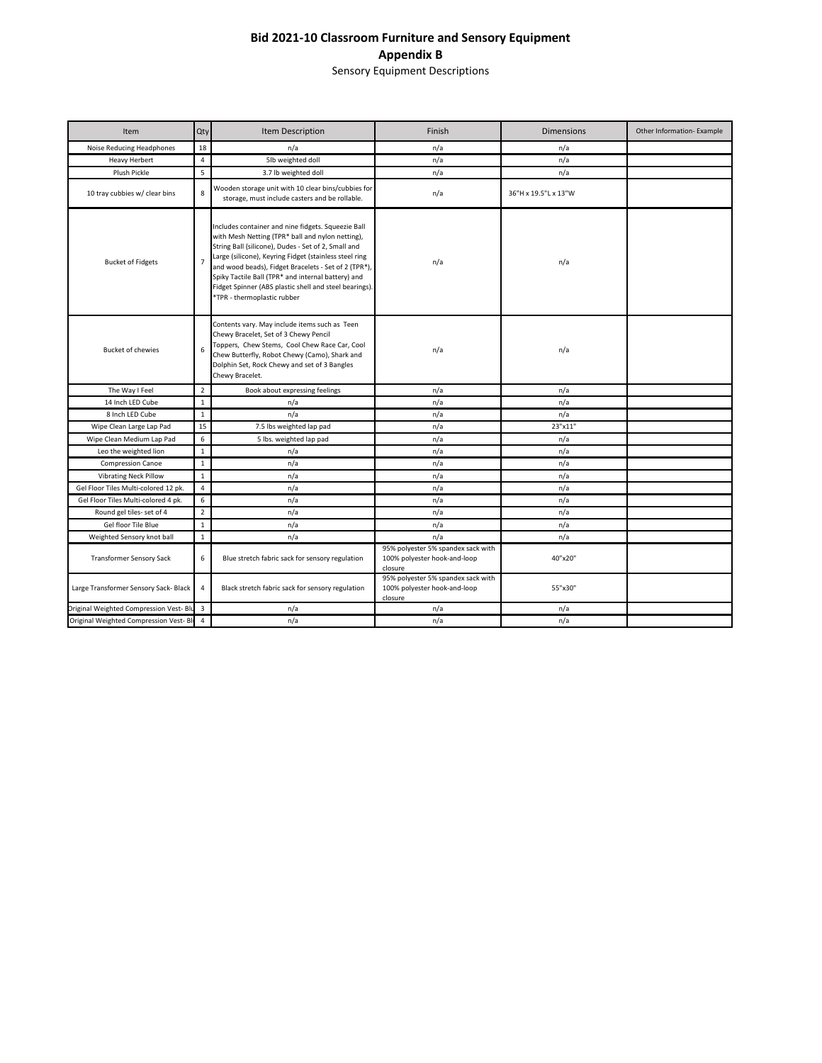## **Bid 2021-10 Classroom Furniture and Sensory Equipment Appendix B**

Sensory Equipment Descriptions

| Item                                      | Qty            | Item Description                                                                                                                                                                                                                                                                                                                                                                                                               | Finish                                                                        | <b>Dimensions</b>    | Other Information- Example |
|-------------------------------------------|----------------|--------------------------------------------------------------------------------------------------------------------------------------------------------------------------------------------------------------------------------------------------------------------------------------------------------------------------------------------------------------------------------------------------------------------------------|-------------------------------------------------------------------------------|----------------------|----------------------------|
| Noise Reducing Headphones                 | 18             | n/a                                                                                                                                                                                                                                                                                                                                                                                                                            | n/a                                                                           | n/a                  |                            |
| <b>Heavy Herbert</b>                      | $\overline{4}$ | 5lb weighted doll                                                                                                                                                                                                                                                                                                                                                                                                              | n/a                                                                           | n/a                  |                            |
| Plush Pickle                              | 5              | 3.7 lb weighted doll                                                                                                                                                                                                                                                                                                                                                                                                           | n/a                                                                           | n/a                  |                            |
| 10 tray cubbies w/ clear bins             | 8              | Wooden storage unit with 10 clear bins/cubbies for<br>storage, must include casters and be rollable.                                                                                                                                                                                                                                                                                                                           | n/a                                                                           | 36"H x 19.5"L x 13"W |                            |
| <b>Bucket of Fidgets</b>                  | $\overline{7}$ | Includes container and nine fidgets. Squeezie Ball<br>with Mesh Netting (TPR* ball and nylon netting),<br>String Ball (silicone), Dudes - Set of 2, Small and<br>Large (silicone), Keyring Fidget (stainless steel ring<br>and wood beads), Fidget Bracelets - Set of 2 (TPR*),<br>Spiky Tactile Ball (TPR* and internal battery) and<br>Fidget Spinner (ABS plastic shell and steel bearings).<br>*TPR - thermoplastic rubber | n/a                                                                           | n/a                  |                            |
| <b>Bucket of chewies</b>                  | 6              | Contents vary. May include items such as Teen<br>Chewy Bracelet, Set of 3 Chewy Pencil<br>Toppers, Chew Stems, Cool Chew Race Car, Cool<br>Chew Butterfly, Robot Chewy (Camo), Shark and<br>Dolphin Set, Rock Chewy and set of 3 Bangles<br>Chewy Bracelet.                                                                                                                                                                    | n/a                                                                           | n/a                  |                            |
| The Way I Feel                            | $\overline{2}$ | Book about expressing feelings                                                                                                                                                                                                                                                                                                                                                                                                 | n/a                                                                           | n/a                  |                            |
| 14 Inch LED Cube                          | $\mathbf{1}$   | n/a                                                                                                                                                                                                                                                                                                                                                                                                                            | n/a                                                                           | n/a                  |                            |
| 8 Inch LED Cube                           | $\mathbf{1}$   | n/a                                                                                                                                                                                                                                                                                                                                                                                                                            | n/a                                                                           | n/a                  |                            |
| Wipe Clean Large Lap Pad                  | 15             | 7.5 lbs weighted lap pad                                                                                                                                                                                                                                                                                                                                                                                                       | n/a                                                                           | 23"x11"              |                            |
| Wipe Clean Medium Lap Pad                 | $\sqrt{6}$     | 5 lbs. weighted lap pad                                                                                                                                                                                                                                                                                                                                                                                                        | n/a                                                                           | n/a                  |                            |
| Leo the weighted lion                     | $\mathbf{1}$   | n/a                                                                                                                                                                                                                                                                                                                                                                                                                            | n/a                                                                           | n/a                  |                            |
| <b>Compression Canoe</b>                  | $\mathbf{1}$   | n/a                                                                                                                                                                                                                                                                                                                                                                                                                            | n/a                                                                           | n/a                  |                            |
| <b>Vibrating Neck Pillow</b>              | $\mathbf{1}$   | n/a                                                                                                                                                                                                                                                                                                                                                                                                                            | n/a                                                                           | n/a                  |                            |
| Gel Floor Tiles Multi-colored 12 pk.      | $\overline{4}$ | n/a                                                                                                                                                                                                                                                                                                                                                                                                                            | n/a                                                                           | n/a                  |                            |
| Gel Floor Tiles Multi-colored 4 pk.       | 6              | n/a                                                                                                                                                                                                                                                                                                                                                                                                                            | n/a                                                                           | n/a                  |                            |
| Round gel tiles- set of 4                 | $\overline{2}$ | n/a                                                                                                                                                                                                                                                                                                                                                                                                                            | n/a                                                                           | n/a                  |                            |
| Gel floor Tile Blue                       | $\mathbf{1}$   | n/a                                                                                                                                                                                                                                                                                                                                                                                                                            | n/a                                                                           | n/a                  |                            |
| Weighted Sensory knot ball                | $\mathbf{1}$   | n/a                                                                                                                                                                                                                                                                                                                                                                                                                            | n/a                                                                           | n/a                  |                            |
| <b>Transformer Sensory Sack</b>           | 6              | Blue stretch fabric sack for sensory regulation                                                                                                                                                                                                                                                                                                                                                                                | 95% polyester 5% spandex sack with<br>100% polyester hook-and-loop<br>closure | 40"x20"              |                            |
| Large Transformer Sensory Sack- Black     | $\overline{4}$ | Black stretch fabric sack for sensory regulation                                                                                                                                                                                                                                                                                                                                                                               | 95% polyester 5% spandex sack with<br>100% polyester hook-and-loop<br>closure | 55"x30"              |                            |
| Original Weighted Compression Vest- Blu 3 |                | n/a                                                                                                                                                                                                                                                                                                                                                                                                                            | n/a                                                                           | n/a                  |                            |
| Original Weighted Compression Vest- Bl 4  |                | n/a                                                                                                                                                                                                                                                                                                                                                                                                                            | n/a                                                                           | n/a                  |                            |